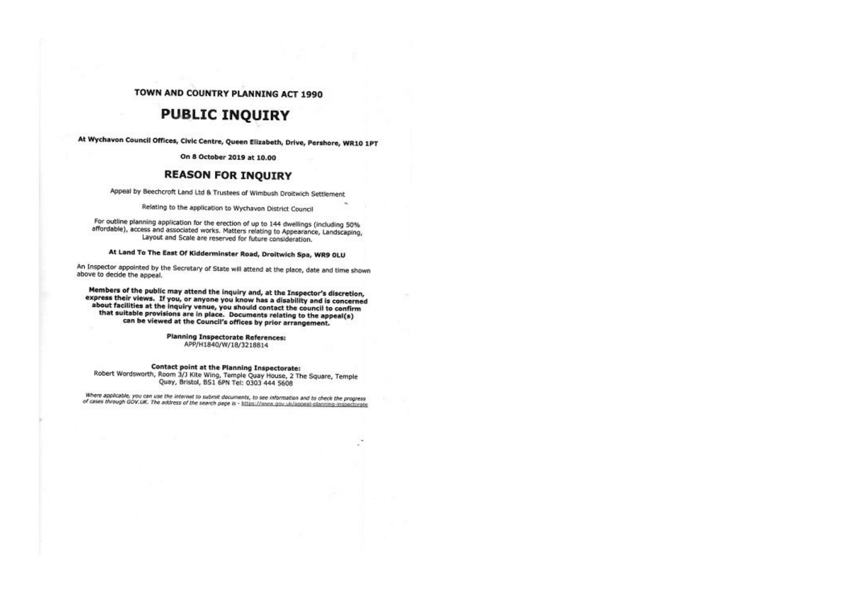### TOWN AND COUNTRY PLANNING ACT 1990

## **PUBLIC INQUIRY**

At Wychavon Council Offices, Civic Centre, Queen Elizabeth, Drive, Pershore, WR10 1PT

On 8 October 2019 at 10.00

## **REASON FOR INQUIRY**

Appeal by Beechcroft Land Ltd & Trustees of Wimbush Droitwich Settlement

Relating to the application to Wychavon District Council

For outline planning application for the erection of up to 144 dwellings (including 50% affordable), access and associated works. Matters relating to Appearance, Landscaping, Layout and Scale are reserved for future consideration.

At Land To The East Of Kidderminster Road, Droitwich Spa, WR9 OLU

An Inspector appointed by the Secretary of State will attend at the place, date and time shown above to decide the appeal.

Members of the public may attend the inquiry and, at the Inspector's discretion, express their views. If you, or anyone you know has a disability and is concerned about facilities at the inquiry venue, you should contact the council to confirm that suitable provisions are in place. Documents relating to the appeal(s) can be viewed at the Council's offices by prior arrangement.

> **Planning Inspectorate References:** APP/H1840/W/18/3218814

#### Contact point at the Planning Inspectorate:

Robert Wordsworth, Room 3/J Kite Wing, Temple Quay House, 2 The Square, Temple Quay, Bristol, BS1 6PN Tel: 0303 444 5608

Where applicable, you can use the internet to submit documents, to see information and to check the progress of cases through GOV.UK. The address of the search page is - https://www.gov.uk/appeal-planning-inspectorate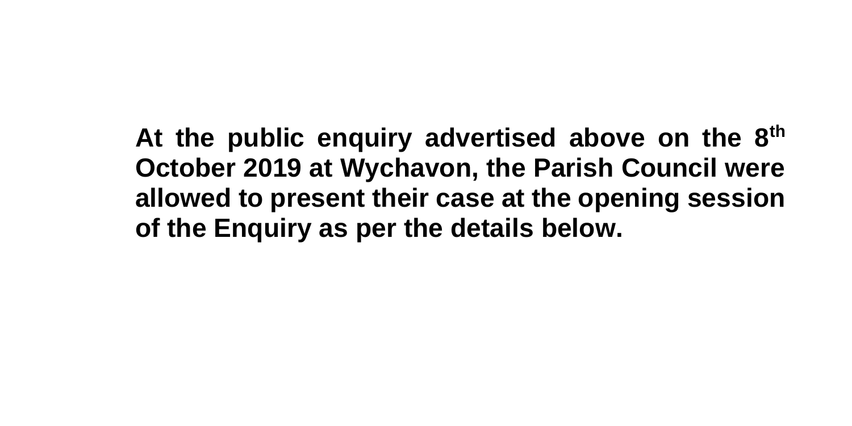**At the public enquiry advertised above on the 8th October 2019 at Wychavon, the Parish Council were allowed to present their case at the opening session of the Enquiry as per the details below.**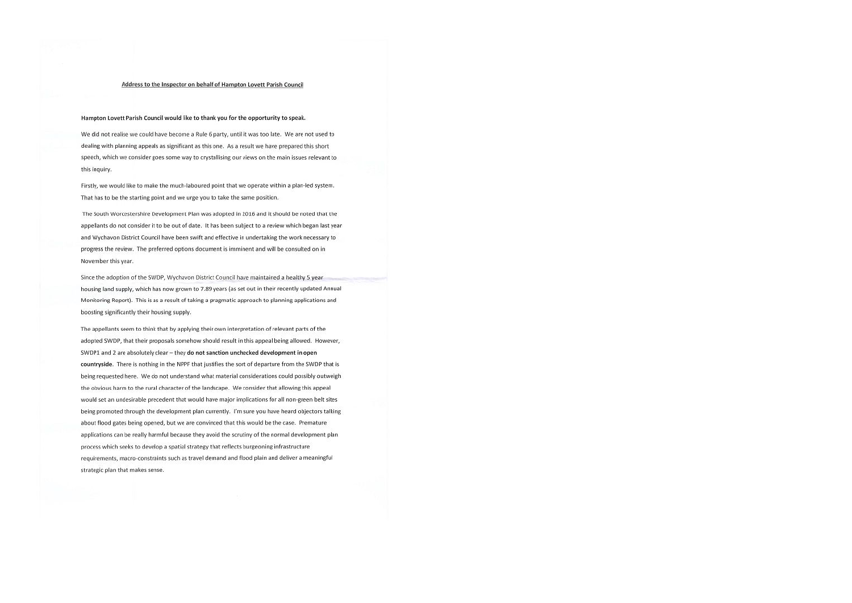#### Address to the Inspector on behalf of Hampton Lovett Parish Council

#### Hampton Lovett Parish Council would like to thank you for the opportunity to speak.

We did not realise we could have become a Rule 6 party, until it was too late. We are not used to dealing with planning appeals as significant as this one. As a result we have prepared this short speech, which we consider goes some way to crystallising our views on the main issues relevant to this inquiry.

Firstly, we would like to make the much-laboured point that we operate within a plan-led system. That has to be the starting point and we urge you to take the same position.

The South Worcestershire Development Plan was adopted in 2016 and it should be noted that the appellants do not consider it to be out of date. It has been subject to a review which began last year and Wychavon District Council have been swift and effective in undertaking the work necessary to progress the review. The preferred options document is imminent and will be consulted on in November this year.

Since the adoption of the SWDP, Wychavon District Council have maintained a healthy 5 year housing land supply, which has now grown to 7.89 years (as set out in their recently updated Annual Monitoring Report). This is as a result of taking a pragmatic approach to planning applications and boosting significantly their housing supply.

The appellants seem to think that by applying their own interpretation of relevant parts of the adopted SWDP, that their proposals somehow should result in this appeal being allowed. However, SWDP1 and 2 are absolutely clear - they do not sanction unchecked development in open countryside. There is nothing in the NPPF that justifies the sort of departure from the SWDP that is being requested here. We do not understand what material considerations could possibly outweigh the obvious harm to the rural character of the landscape. We consider that allowing this appeal would set an undesirable precedent that would have major implications for all non-green belt sites being promoted through the development plan currently. I'm sure you have heard objectors talking about flood gates being opened, but we are convinced that this would be the case. Premature applications can be really harmful because they avoid the scrutiny of the normal development plan process which seeks to develop a spatial strategy that reflects burgeoning infrastructure requirements, macro-constraints such as travel demand and flood plain and deliver a meaningful strategic plan that makes sense.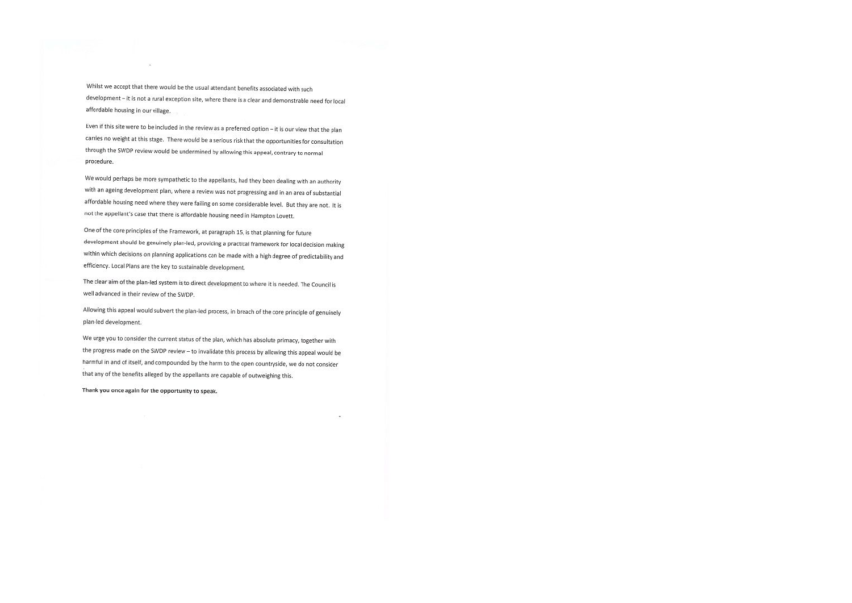Whilst we accept that there would be the usual attendant benefits associated with such development - it is not a rural exception site, where there is a clear and demonstrable need for local affordable housing in our village.

Even if this site were to be included in the review as a preferred option - it is our view that the plan carries no weight at this stage. There would be a serious risk that the opportunities for consultation through the SWDP review would be undermined by allowing this appeal, contrary to normal procedure.

We would perhaps be more sympathetic to the appellants, had they been dealing with an authority with an ageing development plan, where a review was not progressing and in an area of substantial affordable housing need where they were failing on some considerable level. But they are not. It is not the appellant's case that there is affordable housing need in Hampton Lovett.

One of the core principles of the Framework, at paragraph 15, is that planning for future development should be genuinely plan-led, providing a practical framework for local decision making within which decisions on planning applications can be made with a high degree of predictability and efficiency. Local Plans are the key to sustainable development.

The clear aim of the plan-led system is to direct development to where it is needed. The Council is well advanced in their review of the SWDP.

Allowing this appeal would subvert the plan-led process, in breach of the core principle of genuinely plan-led development.

We urge you to consider the current status of the plan, which has absolute primacy, together with the progress made on the SWDP review - to invalidate this process by allowing this appeal would be harmful in and of itself, and compounded by the harm to the open countryside, we do not consider that any of the benefits alleged by the appellants are capable of outweighing this.

Thank you once again for the opportunity to speak.

 $\mathcal{L}$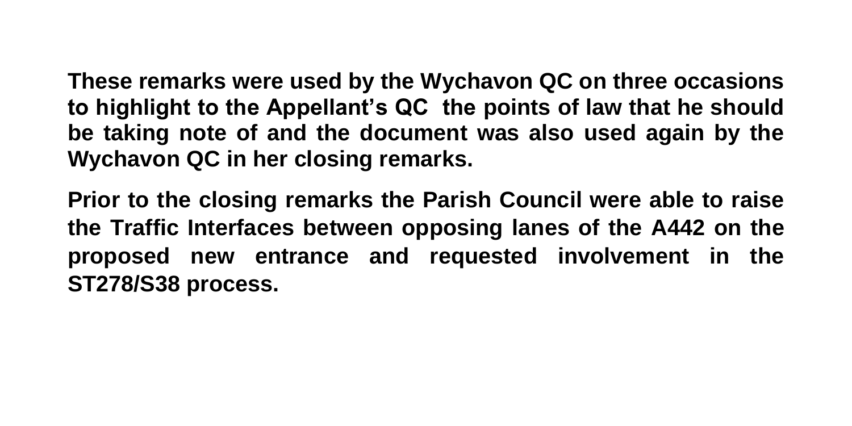**These remarks were used by the Wychavon QC on three occasions to highlight to the Appellant's QC the points of law that he should be taking note of and the document was also used again by the Wychavon QC in her closing remarks.**

**Prior to the closing remarks the Parish Council were able to raise the Traffic Interfaces between opposing lanes of the A442 on the proposed new entrance and requested involvement in the ST278/S38 process.**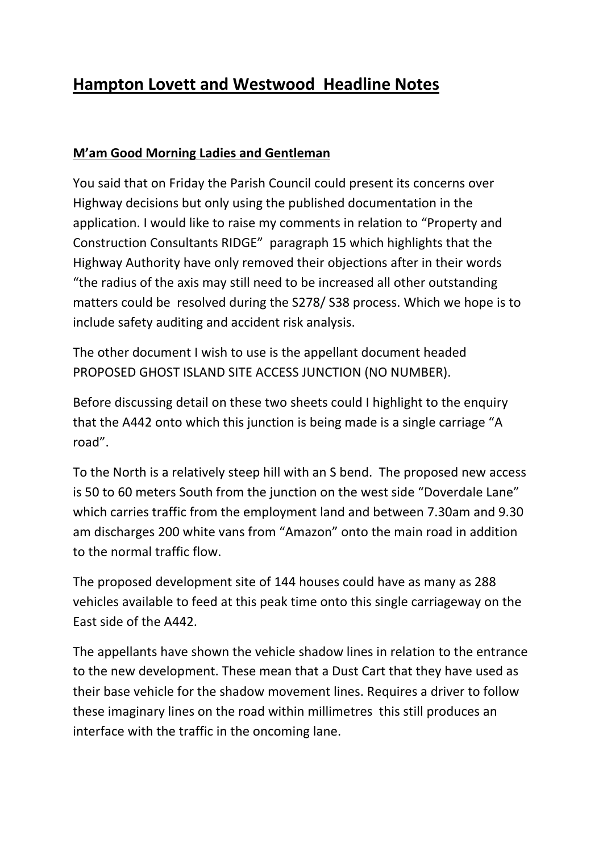# **Hampton Lovett and Westwood Headline Notes**

# **M'am Good Morning Ladies and Gentleman**

You said that on Friday the Parish Council could present its concerns over Highway decisions but only using the published documentation in the application. I would like to raise my comments in relation to "Property and Construction Consultants RIDGE" paragraph 15 which highlights that the Highway Authority have only removed their objections after in their words "the radius of the axis may still need to be increased all other outstanding matters could be resolved during the S278/ S38 process. Which we hope is to include safety auditing and accident risk analysis.

The other document I wish to use is the appellant document headed PROPOSED GHOST ISLAND SITE ACCESS JUNCTION (NO NUMBER).

Before discussing detail on these two sheets could I highlight to the enquiry that the A442 onto which this junction is being made is a single carriage "A road".

To the North is a relatively steep hill with an S bend. The proposed new access is 50 to 60 meters South from the junction on the west side "Doverdale Lane" which carries traffic from the employment land and between 7.30am and 9.30 am discharges 200 white vans from "Amazon" onto the main road in addition to the normal traffic flow.

The proposed development site of 144 houses could have as many as 288 vehicles available to feed at this peak time onto this single carriageway on the East side of the A442.

The appellants have shown the vehicle shadow lines in relation to the entrance to the new development. These mean that a Dust Cart that they have used as their base vehicle for the shadow movement lines. Requires a driver to follow these imaginary lines on the road within millimetres this still produces an interface with the traffic in the oncoming lane.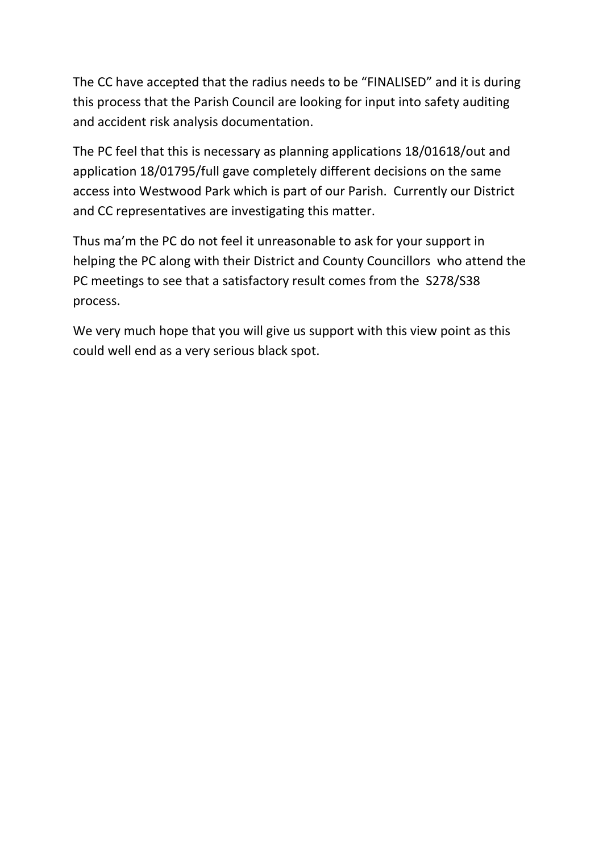The CC have accepted that the radius needs to be "FINALISED" and it is during this process that the Parish Council are looking for input into safety auditing and accident risk analysis documentation.

The PC feel that this is necessary as planning applications 18/01618/out and application 18/01795/full gave completely different decisions on the same access into Westwood Park which is part of our Parish. Currently our District and CC representatives are investigating this matter.

Thus ma'm the PC do not feel it unreasonable to ask for your support in helping the PC along with their District and County Councillors who attend the PC meetings to see that a satisfactory result comes from the S278/S38 process.

We very much hope that you will give us support with this view point as this could well end as a very serious black spot.